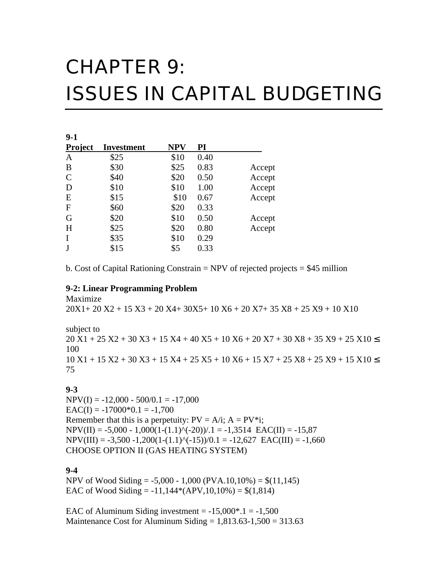# CHAPTER 9: ISSUES IN CAPITAL BUDGETING

| $9-1$          |                   |      |      |        |
|----------------|-------------------|------|------|--------|
| <b>Project</b> | <b>Investment</b> | NPV  | PI   |        |
| A              | \$25              | \$10 | 0.40 |        |
| B              | \$30              | \$25 | 0.83 | Accept |
| $\mathcal{C}$  | \$40              | \$20 | 0.50 | Accept |
| D              | \$10              | \$10 | 1.00 | Accept |
| E              | \$15              | \$10 | 0.67 | Accept |
| $\mathbf{F}$   | \$60              | \$20 | 0.33 |        |
| G              | \$20              | \$10 | 0.50 | Accept |
| H              | \$25              | \$20 | 0.80 | Accept |
| I              | \$35              | \$10 | 0.29 |        |
| J              | \$15              | \$5  | 0.33 |        |

b. Cost of Capital Rationing Constrain  $= NPV$  of rejected projects  $= $45$  million

#### **9-2: Linear Programming Problem**

Maximize 20X1+ 20 X2 + 15 X3 + 20 X4+ 30X5+ 10 X6 + 20 X7+ 35 X8 + 25 X9 + 10 X10

subject to 20 X1 + 25 X2 + 30 X3 + 15 X4 + 40 X5 + 10 X6 + 20 X7 + 30 X8 + 35 X9 + 25 X10 100 10 X1 + 15 X2 + 30 X3 + 15 X4 + 25 X5 + 10 X6 + 15 X7 + 25 X8 + 25 X9 + 15 X10 75

#### **9-3**

 $NPV(I) = -12,000 - 500/0.1 = -17,000$  $EAC(I) = -17000*0.1 = -1,700$ Remember that this is a perpetuity:  $PV = A/i$ ;  $A = PV^*i$ ;  $NPV(II) = -5,000 - 1,000(1-(1.1)^{(-20)})/0.1 = -1,3514$  EAC(II) = -15,87  $NPV(III) = -3,500 -1,200(1-(1.1)^{(-15)})/0.1 = -12,627$  EAC(III) = -1,660 CHOOSE OPTION II (GAS HEATING SYSTEM)

#### **9-4**

NPV of Wood Siding =  $-5,000 - 1,000$  (PVA.10,10%) =  $\$(11,145)$ EAC of Wood Siding =  $-11,144*(APV,10,10\%) = $(1,814)$ 

EAC of Aluminum Siding investment  $= -15,000^*$ . 1  $= -1,500$ Maintenance Cost for Aluminum Siding  $= 1,813.63 - 1,500 = 313.63$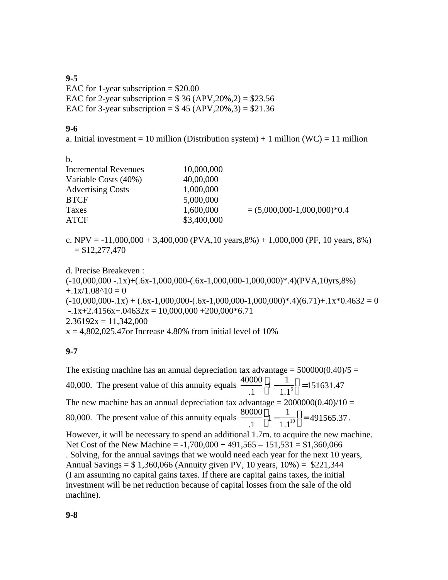### **9-5**

EAC for 1-year subscription  $= $20.00$ EAC for 2-year subscription =  $$36 (APV,20%,2) = $23.56$ EAC for 3-year subscription =  $$45 (APV, 20%, 3) = $21.36$ 

#### **9-6**

a. Initial investment = 10 million (Distribution system) + 1 million (WC) = 11 million

b.

| <b>Incremental Revenues</b><br>Variable Costs (40%) | 10,000,000<br>40,00,000 |                               |
|-----------------------------------------------------|-------------------------|-------------------------------|
| <b>Advertising Costs</b><br><b>BTCF</b>             | 1,000,000<br>5,000,000  |                               |
| Taxes                                               | 1,600,000               | $= (5,000,000-1,000,000)*0.4$ |
| ATCF                                                | \$3,400,000             |                               |

c. NPV =  $-11,000,000 + 3,400,000$  (PVA, 10 years, 8%) + 1,000,000 (PF, 10 years, 8%)  $= $12,277,470$ 

d. Precise Breakeven :

 $(-10,000,000-.1x)+(6x-1,000,000-6x-1,000,000-1,000,000)*.4$  $(PVA,10yrs,8%$  $+1x/1.08^{\wedge}10 = 0$  $(-10,000,000-.1x) + (.6x-1,000,000-.6x-1,000,000-1,000,000)*.4(6.71)+.1x*0.4632 = 0$  $-1x+2.4156x+.04632x = 10,000,000 + 200,000 * 6.71$  $2.36192x = 11,342,000$  $x = 4,802,025.47$  or Increase 4.80% from initial level of 10%

## **9-7**

The existing machine has an annual depreciation tax advantage =  $500000(0.40)/5$  = 40,000. The present value of this annuity equals  $\frac{40000}{4}$ .1 1 − 1  $1.1<sup>5</sup>$  $\overline{1}$  $\overline{1}$  =151631.47 The new machine has an annual depreciation tax advantage =  $2000000(0.40)/10 =$ 80,000. The present value of this annuity equals  $\frac{80000}{1}$ .1 1 − 1  $1.1^{10}$  $\overline{1}$  $\overline{a}$  $= 491565.37$ . However, it will be necessary to spend an additional 1.7m. to acquire the new machine. Net Cost of the New Machine =  $-1,700,000 + 491,565 - 151,531 = $1,360,066$ . Solving, for the annual savings that we would need each year for the next 10 years, Annual Savings =  $$1,360,066$  (Annuity given PV, 10 years, 10%) =  $$221,344$ (I am assuming no capital gains taxes. If there are capital gains taxes, the initial investment will be net reduction because of capital losses from the sale of the old machine).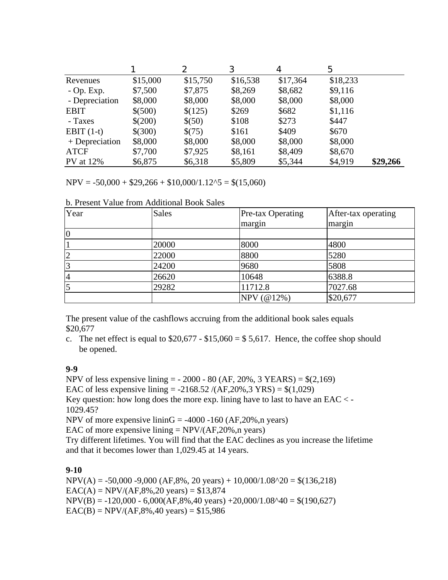|                  |          | 2        | 3        | 4        | 5        |          |
|------------------|----------|----------|----------|----------|----------|----------|
| Revenues         | \$15,000 | \$15,750 | \$16,538 | \$17,364 | \$18,233 |          |
| $-$ Op. Exp.     | \$7,500  | \$7,875  | \$8,269  | \$8,682  | \$9,116  |          |
| - Depreciation   | \$8,000  | \$8,000  | \$8,000  | \$8,000  | \$8,000  |          |
| <b>EBIT</b>      | \$(500)  | \$(125)  | \$269    | \$682    | \$1,116  |          |
| - Taxes          | \$(200)  | \$(50)   | \$108    | \$273    | \$447    |          |
| EBIT $(1-t)$     | \$(300)  | \$(75)   | \$161    | \$409    | \$670    |          |
| $+$ Depreciation | \$8,000  | \$8,000  | \$8,000  | \$8,000  | \$8,000  |          |
| <b>ATCF</b>      | \$7,700  | \$7,925  | \$8,161  | \$8,409  | \$8,670  |          |
| <b>PV</b> at 12% | \$6,875  | \$6,318  | \$5,809  | \$5,344  | \$4,919  | \$29,266 |

 $NPV = -50,000 + $29,266 + $10,000/1.12 \cdot 5 = $(15,060)$ 

| b. Present Value from Additional Book Sales |  |  |  |  |  |  |
|---------------------------------------------|--|--|--|--|--|--|
|---------------------------------------------|--|--|--|--|--|--|

| Year           | <b>Sales</b> | Pre-tax Operating | After-tax operating |
|----------------|--------------|-------------------|---------------------|
|                |              | margin            | margin              |
| $ 0\rangle$    |              |                   |                     |
|                | 20000        | 8000              | 4800                |
| $\overline{2}$ | 22000        | 8800              | 5280                |
| 3              | 24200        | 9680              | 5808                |
| 4              | 26620        | 10648             | 6388.8              |
| 5              | 29282        | 11712.8           | 7027.68             |
|                |              | NPV (@12%)        | \$20,677            |

The present value of the cashflows accruing from the additional book sales equals \$20,677

c. The net effect is equal to  $$20,677 - $15,060 = $5,617$ . Hence, the coffee shop should be opened.

#### **9-9**

NPV of less expensive lining  $= -2000 - 80$  (AF, 20%, 3 YEARS)  $=$  \$(2,169) EAC of less expensive lining =  $-2168.52 / (AF, 20\%, 3 \text{ YRS}) = $(1,029)$ Key question: how long does the more exp. lining have to last to have an EAC  $\lt$  -1029.45? NPV of more expensive lininG =  $-4000 -160$  (AF,20%,n years)

EAC of more expensive lining  $= NPV/(AF, 20\%, n \text{ years})$ Try different lifetimes. You will find that the EAC declines as you increase the lifetime and that it becomes lower than 1,029.45 at 14 years.

## **9-10**

 $NPV(A) = -50,000 -9,000 (AF,8%, 20 years) + 10,000/1.08^2 = $(136,218)$  $EAC(A) = NPV/(AF, 8\%, 20 \text{ years}) = $13,874$  $NPV(B) = -120,000 - 6,000(AF,8%,40 \text{ years}) + 20,000/1.08^4 = $(190,627)$  $EAC(B) = NPV/(AF, 8\%, 40 \text{ years}) = $15,986$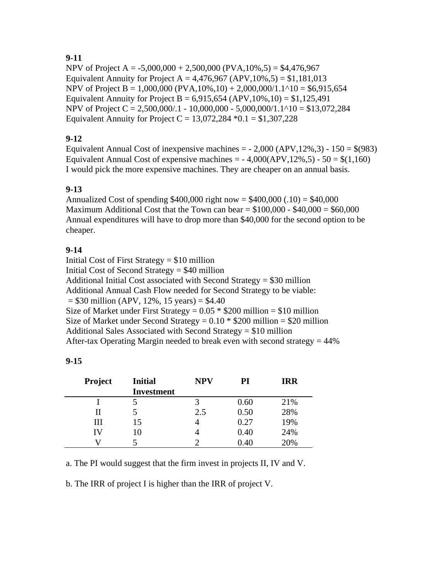# **9-11**

NPV of Project A =  $-5,000,000 + 2,500,000$  (PVA,  $10\%$ , 5) = \$4,476,967 Equivalent Annuity for Project A =  $4,476,967$  (APV,  $10\%$ ,  $5$ ) = \$1,181,013 NPV of Project B = 1,000,000 (PVA,10%,10) + 2,000,000/1.1^10 = \$6,915,654 Equivalent Annuity for Project B =  $6,915,654$  (APV,  $10\%$ ,  $10) = $1,125,491$ ) NPV of Project C = 2,500,000/.1 - 10,000,000 - 5,000,000/1.1^10 = \$13,072,284 Equivalent Annuity for Project C =  $13,072,284$  \*0.1 = \$1,307,228

# **9-12**

Equivalent Annual Cost of inexpensive machines  $=$  - 2,000 (APV, 12%, 3) - 150  $=$  \$(983) Equivalent Annual Cost of expensive machines  $= -4,000(APV,12\%, 5) - 50 = $(1,160)$ I would pick the more expensive machines. They are cheaper on an annual basis.

# **9-13**

Annualized Cost of spending  $$400,000$  right now =  $$400,000$  (.10) =  $$40,000$ Maximum Additional Cost that the Town can bear  $= $100,000 - $40,000 = $60,000$ Annual expenditures will have to drop more than \$40,000 for the second option to be cheaper.

# **9-14**

Initial Cost of First Strategy = \$10 million Initial Cost of Second Strategy = \$40 million Additional Initial Cost associated with Second Strategy = \$30 million Additional Annual Cash Flow needed for Second Strategy to be viable:  $= $30$  million (APV, 12%, 15 years)  $= $4.40$ Size of Market under First Strategy =  $0.05 * $200$  million = \$10 million Size of Market under Second Strategy =  $0.10 * $200$  million = \$20 million Additional Sales Associated with Second Strategy = \$10 million After-tax Operating Margin needed to break even with second strategy  $= 44\%$ 

| <b>Project</b> | <b>Initial</b>    | <b>NPV</b> | PI     | <b>IRR</b> |
|----------------|-------------------|------------|--------|------------|
|                | <b>Investment</b> |            |        |            |
|                |                   |            | 0.60   | 21%        |
| П              |                   | 2.5        | 0.50   | 28%        |
| Ш              | 15                |            | 0.27   | 19%        |
| IV             | 10                |            | 0.40   | 24%        |
|                |                   |            | (1.40) | 20%        |

a. The PI would suggest that the firm invest in projects II, IV and V.

b. The IRR of project I is higher than the IRR of project V.